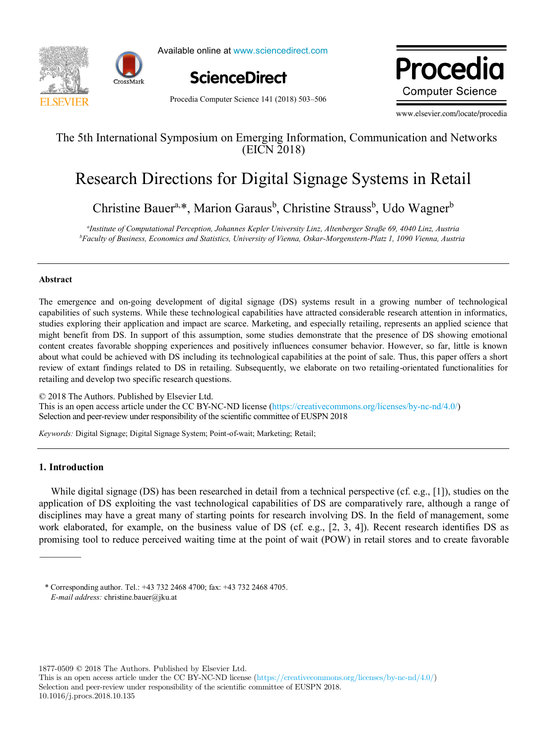



Available online at www.sciencedirect.com



Procedia Computer Science 141 (2018) 503–506

Procedia **Computer Science** 

www.elsevier.com/locate/procedia

## The 5th International Symposium on Emerging Information, Communication and Networks (EICN 2018)

# Research Directions for Digital Signage Systems in Retail

Christine Bauer<sup>a,\*</sup>, Marion Garaus<sup>b</sup>, Christine Strauss<sup>b</sup>, Udo Wagner<sup>b</sup>

*a Institute of Computational Perception, Johannes Kepler University Linz, Altenberger Straße 69, 4040 Linz, Austria b Faculty of Business, Economics and Statistics, University of Vienna, Oskar-Morgenstern-Platz 1, 1090 Vienna, Austria ab*

#### **Abstract**

The emergence and on-going development of digital signage (DS) systems result in a growing number of technological The emergence and on-going development of digital signage (DS) systems result in a growing number of technological capabilities of such systems. While these technological capabilities have attracted considerable research a studies exploring their application and impact are scarce. Marketing, and especially retailing, represents an applied science that might benefit from DS. In support of this assumption, some studies demonstrate that the presence of DS showing emotional content creates favorable shopping experiences and positively influences consumer behavior. However, so far, little is known about what could be achieved with DS including its technological capabilities at the point of sale. Thus, this paper offers a short review of extant findings related to DS in retailing. Subsequently, we elaborate on two retailing-orientated functionalities for retailing and develop two specific research questions.

© 2018 The Authors. Published by Elsevier Ltd. This is an open access article under the CC BY-NC-ND license (<https://creativecommons.org/licenses/by-nc-nd/4.0/>) © 2018 The Authors. Published by Elsevier Ltd. This is an open access article under the CC BY-NC-ND license (https://creativecommons.org/licenses/by-nc-nd/3.0/).<br>Selection and peer-review under responsibility of the scientific committee of EUSPN 2018

*Keywords:* Digital Signage; Digital Signage System; Point-of-wait; Marketing; Retail;

### **1. Introduction**

While digital signage (DS) has been researched in detail from a technical perspective (cf. e.g., [1]), studies on the application of DS exploiting the vast technological capabilities of DS are comparatively rare, although a range of disciplines may have a great many of starting points for research involving DS. In the field of management, some work elaborated, for example, on the business value of DS (cf. e.g., [2, 3, 4]). Recent research identifies DS as promising tool to reduce perceived waiting time at the point of wait (POW) in retail stores and to create favorable

\* Corresponding author. Tel.: +43 732 2468 4700; fax: +43 732 2468 4705. *E-mail address:* christine.bauer@jku.at

1877-0509 © 2018 The Authors. Published by Elsevier Ltd.

This is an open access article under the CC BY-NC-ND license (https://creativecommons.org/licenses/by-nc-nd/4.0/) Selection and peer-review under responsibility of the scientific committee of EUSPN 2018. 10.1016/j.procs.2018.10.135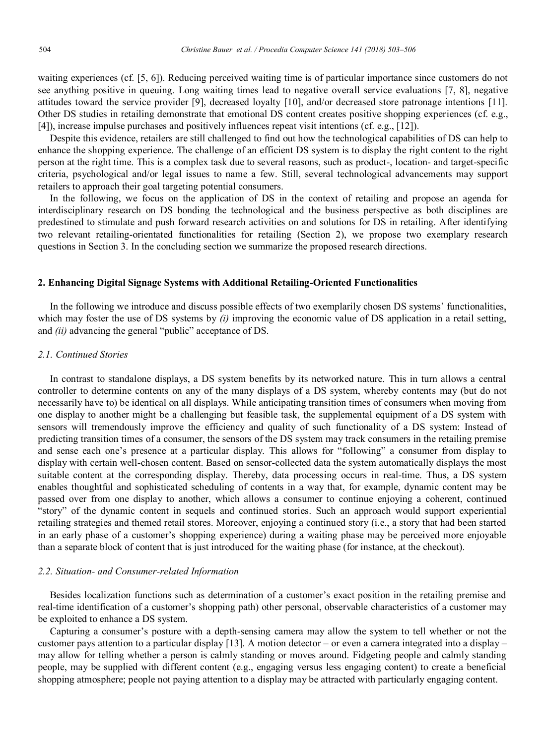waiting experiences (cf. [5, 6]). Reducing perceived waiting time is of particular importance since customers do not see anything positive in queuing. Long waiting times lead to negative overall service evaluations [7, 8], negative attitudes toward the service provider [9], decreased loyalty [10], and/or decreased store patronage intentions [11]. Other DS studies in retailing demonstrate that emotional DS content creates positive shopping experiences (cf. e.g., [4]), increase impulse purchases and positively influences repeat visit intentions (cf. e.g., [12]).

Despite this evidence, retailers are still challenged to find out how the technological capabilities of DS can help to enhance the shopping experience. The challenge of an efficient DS system is to display the right content to the right person at the right time. This is a complex task due to several reasons, such as product-, location- and target-specific criteria, psychological and/or legal issues to name a few. Still, several technological advancements may support retailers to approach their goal targeting potential consumers.

In the following, we focus on the application of DS in the context of retailing and propose an agenda for interdisciplinary research on DS bonding the technological and the business perspective as both disciplines are predestined to stimulate and push forward research activities on and solutions for DS in retailing. After identifying two relevant retailing-orientated functionalities for retailing (Section 2), we propose two exemplary research questions in Section 3. In the concluding section we summarize the proposed research directions.

#### **2. Enhancing Digital Signage Systems with Additional Retailing-Oriented Functionalities**

In the following we introduce and discuss possible effects of two exemplarily chosen DS systems' functionalities, which may foster the use of DS systems by *(i)* improving the economic value of DS application in a retail setting, and *(ii)* advancing the general "public" acceptance of DS.

#### *2.1. Continued Stories*

In contrast to standalone displays, a DS system benefits by its networked nature. This in turn allows a central controller to determine contents on any of the many displays of a DS system, whereby contents may (but do not necessarily have to) be identical on all displays. While anticipating transition times of consumers when moving from one display to another might be a challenging but feasible task, the supplemental equipment of a DS system with sensors will tremendously improve the efficiency and quality of such functionality of a DS system: Instead of predicting transition times of a consumer, the sensors of the DS system may track consumers in the retailing premise and sense each one's presence at a particular display. This allows for "following" a consumer from display to display with certain well-chosen content. Based on sensor-collected data the system automatically displays the most suitable content at the corresponding display. Thereby, data processing occurs in real-time. Thus, a DS system enables thoughtful and sophisticated scheduling of contents in a way that, for example, dynamic content may be passed over from one display to another, which allows a consumer to continue enjoying a coherent, continued "story" of the dynamic content in sequels and continued stories. Such an approach would support experiential retailing strategies and themed retail stores. Moreover, enjoying a continued story (i.e., a story that had been started in an early phase of a customer's shopping experience) during a waiting phase may be perceived more enjoyable than a separate block of content that is just introduced for the waiting phase (for instance, at the checkout).

#### *2.2. Situation- and Consumer-related Information*

Besides localization functions such as determination of a customer's exact position in the retailing premise and real-time identification of a customer's shopping path) other personal, observable characteristics of a customer may be exploited to enhance a DS system.

Capturing a consumer's posture with a depth-sensing camera may allow the system to tell whether or not the customer pays attention to a particular display [13]. A motion detector – or even a camera integrated into a display – may allow for telling whether a person is calmly standing or moves around. Fidgeting people and calmly standing people, may be supplied with different content (e.g., engaging versus less engaging content) to create a beneficial shopping atmosphere; people not paying attention to a display may be attracted with particularly engaging content.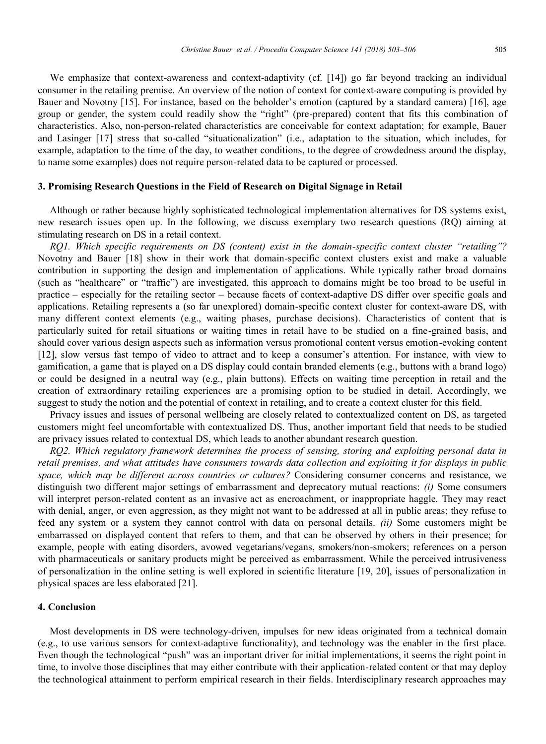We emphasize that context-awareness and context-adaptivity (cf. [14]) go far beyond tracking an individual consumer in the retailing premise. An overview of the notion of context for context-aware computing is provided by Bauer and Novotny [15]. For instance, based on the beholder's emotion (captured by a standard camera) [16], age group or gender, the system could readily show the "right" (pre-prepared) content that fits this combination of characteristics. Also, non-person-related characteristics are conceivable for context adaptation; for example, Bauer and Lasinger [17] stress that so-called "situationalization" (i.e., adaptation to the situation, which includes, for example, adaptation to the time of the day, to weather conditions, to the degree of crowdedness around the display, to name some examples) does not require person-related data to be captured or processed.

#### **3. Promising Research Questions in the Field of Research on Digital Signage in Retail**

Although or rather because highly sophisticated technological implementation alternatives for DS systems exist, new research issues open up. In the following, we discuss exemplary two research questions (RQ) aiming at stimulating research on DS in a retail context.

*RQ1. Which specific requirements on DS (content) exist in the domain-specific context cluster "retailing"?* Novotny and Bauer [18] show in their work that domain-specific context clusters exist and make a valuable contribution in supporting the design and implementation of applications. While typically rather broad domains (such as "healthcare" or "traffic") are investigated, this approach to domains might be too broad to be useful in practice – especially for the retailing sector – because facets of context-adaptive DS differ over specific goals and applications. Retailing represents a (so far unexplored) domain-specific context cluster for context-aware DS, with many different context elements (e.g., waiting phases, purchase decisions). Characteristics of content that is particularly suited for retail situations or waiting times in retail have to be studied on a fine-grained basis, and should cover various design aspects such as information versus promotional content versus emotion-evoking content [12], slow versus fast tempo of video to attract and to keep a consumer's attention. For instance, with view to gamification, a game that is played on a DS display could contain branded elements (e.g., buttons with a brand logo) or could be designed in a neutral way (e.g., plain buttons). Effects on waiting time perception in retail and the creation of extraordinary retailing experiences are a promising option to be studied in detail. Accordingly, we suggest to study the notion and the potential of context in retailing, and to create a context cluster for this field.

Privacy issues and issues of personal wellbeing are closely related to contextualized content on DS, as targeted customers might feel uncomfortable with contextualized DS. Thus, another important field that needs to be studied are privacy issues related to contextual DS, which leads to another abundant research question.

*RQ2. Which regulatory framework determines the process of sensing, storing and exploiting personal data in retail premises, and what attitudes have consumers towards data collection and exploiting it for displays in public space, which may be different across countries or cultures?* Considering consumer concerns and resistance, we distinguish two different major settings of embarrassment and deprecatory mutual reactions: *(i)* Some consumers will interpret person-related content as an invasive act as encroachment, or inappropriate haggle. They may react with denial, anger, or even aggression, as they might not want to be addressed at all in public areas; they refuse to feed any system or a system they cannot control with data on personal details. *(ii)* Some customers might be embarrassed on displayed content that refers to them, and that can be observed by others in their presence; for example, people with eating disorders, avowed vegetarians/vegans, smokers/non-smokers; references on a person with pharmaceuticals or sanitary products might be perceived as embarrassment. While the perceived intrusiveness of personalization in the online setting is well explored in scientific literature [19, 20], issues of personalization in physical spaces are less elaborated [21].

#### **4. Conclusion**

Most developments in DS were technology-driven, impulses for new ideas originated from a technical domain (e.g., to use various sensors for context-adaptive functionality), and technology was the enabler in the first place. Even though the technological "push" was an important driver for initial implementations, it seems the right point in time, to involve those disciplines that may either contribute with their application-related content or that may deploy the technological attainment to perform empirical research in their fields. Interdisciplinary research approaches may